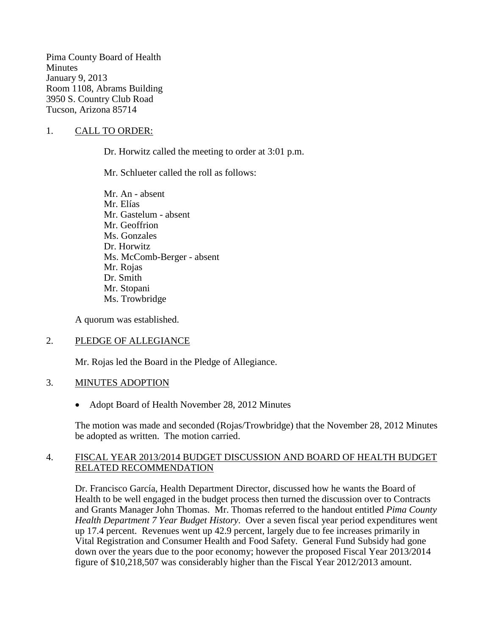Pima County Board of Health **Minutes** January 9, 2013 Room 1108, Abrams Building 3950 S. Country Club Road Tucson, Arizona 85714

#### 1. CALL TO ORDER:

Dr. Horwitz called the meeting to order at 3:01 p.m.

Mr. Schlueter called the roll as follows:

Mr. An - absent Mr. Elías Mr. Gastelum - absent Mr. Geoffrion Ms. Gonzales Dr. Horwitz Ms. McComb-Berger - absent Mr. Rojas Dr. Smith Mr. Stopani Ms. Trowbridge

A quorum was established.

#### 2. PLEDGE OF ALLEGIANCE

Mr. Rojas led the Board in the Pledge of Allegiance.

#### 3. MINUTES ADOPTION

• Adopt Board of Health November 28, 2012 Minutes

The motion was made and seconded (Rojas/Trowbridge) that the November 28, 2012 Minutes be adopted as written. The motion carried.

#### 4. FISCAL YEAR 2013/2014 BUDGET DISCUSSION AND BOARD OF HEALTH BUDGET RELATED RECOMMENDATION

Dr. Francisco García, Health Department Director, discussed how he wants the Board of Health to be well engaged in the budget process then turned the discussion over to Contracts and Grants Manager John Thomas. Mr. Thomas referred to the handout entitled *Pima County Health Department 7 Year Budget History*. Over a seven fiscal year period expenditures went up 17.4 percent. Revenues went up 42.9 percent, largely due to fee increases primarily in Vital Registration and Consumer Health and Food Safety. General Fund Subsidy had gone down over the years due to the poor economy; however the proposed Fiscal Year 2013/2014 figure of \$10,218,507 was considerably higher than the Fiscal Year 2012/2013 amount.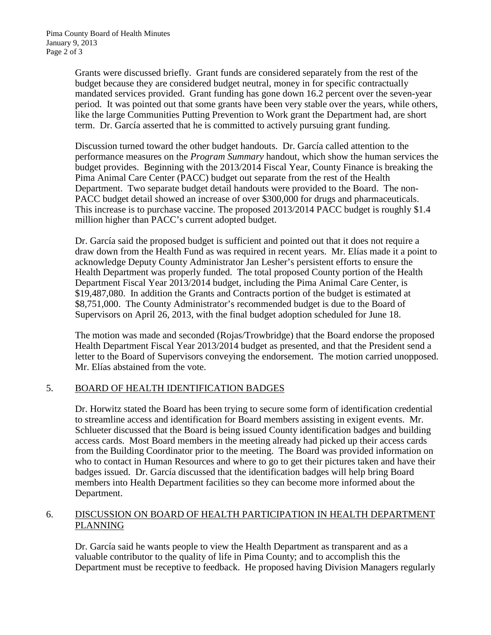Grants were discussed briefly. Grant funds are considered separately from the rest of the budget because they are considered budget neutral, money in for specific contractually mandated services provided. Grant funding has gone down 16.2 percent over the seven-year period. It was pointed out that some grants have been very stable over the years, while others, like the large Communities Putting Prevention to Work grant the Department had, are short term. Dr. García asserted that he is committed to actively pursuing grant funding.

Discussion turned toward the other budget handouts. Dr. García called attention to the performance measures on the *Program Summary* handout, which show the human services the budget provides. Beginning with the 2013/2014 Fiscal Year, County Finance is breaking the Pima Animal Care Center (PACC) budget out separate from the rest of the Health Department. Two separate budget detail handouts were provided to the Board. The non-PACC budget detail showed an increase of over \$300,000 for drugs and pharmaceuticals. This increase is to purchase vaccine. The proposed 2013/2014 PACC budget is roughly \$1.4 million higher than PACC's current adopted budget.

Dr. García said the proposed budget is sufficient and pointed out that it does not require a draw down from the Health Fund as was required in recent years. Mr. Elías made it a point to acknowledge Deputy County Administrator Jan Lesher's persistent efforts to ensure the Health Department was properly funded. The total proposed County portion of the Health Department Fiscal Year 2013/2014 budget, including the Pima Animal Care Center, is \$19,487,080. In addition the Grants and Contracts portion of the budget is estimated at \$8,751,000. The County Administrator's recommended budget is due to the Board of Supervisors on April 26, 2013, with the final budget adoption scheduled for June 18.

The motion was made and seconded (Rojas/Trowbridge) that the Board endorse the proposed Health Department Fiscal Year 2013/2014 budget as presented, and that the President send a letter to the Board of Supervisors conveying the endorsement. The motion carried unopposed. Mr. Elías abstained from the vote.

### 5. BOARD OF HEALTH IDENTIFICATION BADGES

Dr. Horwitz stated the Board has been trying to secure some form of identification credential to streamline access and identification for Board members assisting in exigent events. Mr. Schlueter discussed that the Board is being issued County identification badges and building access cards. Most Board members in the meeting already had picked up their access cards from the Building Coordinator prior to the meeting. The Board was provided information on who to contact in Human Resources and where to go to get their pictures taken and have their badges issued. Dr. García discussed that the identification badges will help bring Board members into Health Department facilities so they can become more informed about the Department.

#### 6. DISCUSSION ON BOARD OF HEALTH PARTICIPATION IN HEALTH DEPARTMENT PLANNING

Dr. García said he wants people to view the Health Department as transparent and as a valuable contributor to the quality of life in Pima County; and to accomplish this the Department must be receptive to feedback. He proposed having Division Managers regularly